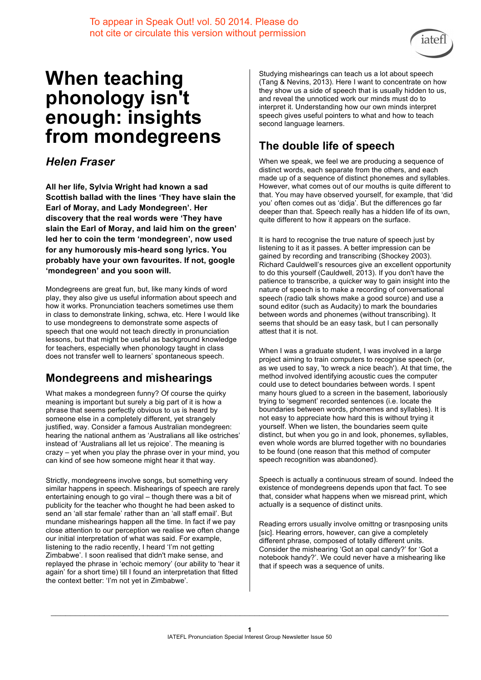

# **When teaching phonology isn't enough: insights from mondegreens**

#### *Helen Fraser*

**All her life, Sylvia Wright had known a sad Scottish ballad with the lines 'They have slain the Earl of Moray, and Lady Mondegreen'. Her discovery that the real words were 'They have slain the Earl of Moray, and laid him on the green' led her to coin the term 'mondegreen', now used for any humorously mis-heard song lyrics. You probably have your own favourites. If not, google 'mondegreen' and you soon will.**

Mondegreens are great fun, but, like many kinds of word play, they also give us useful information about speech and how it works. Pronunciation teachers sometimes use them in class to demonstrate linking, schwa, etc. Here I would like to use mondegreens to demonstrate some aspects of speech that one would not teach directly in pronunciation lessons, but that might be useful as background knowledge for teachers, especially when phonology taught in class does not transfer well to learners' spontaneous speech.

## **Mondegreens and mishearings**

What makes a mondegreen funny? Of course the quirky meaning is important but surely a big part of it is how a phrase that seems perfectly obvious to us is heard by someone else in a completely different, yet strangely justified, way. Consider a famous Australian mondegreen: hearing the national anthem as 'Australians all like ostriches' instead of 'Australians all let us rejoice'. The meaning is crazy – yet when you play the phrase over in your mind, you can kind of see how someone might hear it that way.

Strictly, mondegreens involve songs, but something very similar happens in speech. Mishearings of speech are rarely entertaining enough to go viral – though there was a bit of publicity for the teacher who thought he had been asked to send an 'all star female' rather than an 'all staff email'. But mundane mishearings happen all the time. In fact if we pay close attention to our perception we realise we often change our initial interpretation of what was said. For example, listening to the radio recently, I heard 'I'm not getting Zimbabwe'. I soon realised that didn't make sense, and replayed the phrase in 'echoic memory' (our ability to 'hear it again' for a short time) till I found an interpretation that fitted the context better: 'I'm not yet in Zimbabwe'.

Studying mishearings can teach us a lot about speech (Tang & Nevins, 2013). Here I want to concentrate on how they show us a side of speech that is usually hidden to us, and reveal the unnoticed work our minds must do to interpret it. Understanding how our own minds interpret speech gives useful pointers to what and how to teach second language learners.

## **The double life of speech**

When we speak, we feel we are producing a sequence of distinct words, each separate from the others, and each made up of a sequence of distinct phonemes and syllables. However, what comes out of our mouths is quite different to that. You may have observed yourself, for example, that 'did you' often comes out as 'didja'. But the differences go far deeper than that. Speech really has a hidden life of its own, quite different to how it appears on the surface.

It is hard to recognise the true nature of speech just by listening to it as it passes. A better impression can be gained by recording and transcribing (Shockey 2003). Richard Cauldwell's resources give an excellent opportunity to do this yourself (Cauldwell, 2013). If you don't have the patience to transcribe, a quicker way to gain insight into the nature of speech is to make a recording of conversational speech (radio talk shows make a good source) and use a sound editor (such as Audacity) to mark the boundaries between words and phonemes (without transcribing). It seems that should be an easy task, but I can personally attest that it is not.

When I was a graduate student, I was involved in a large project aiming to train computers to recognise speech (or, as we used to say, 'to wreck a nice beach'). At that time, the method involved identifying acoustic cues the computer could use to detect boundaries between words. I spent many hours glued to a screen in the basement, laboriously trying to 'segment' recorded sentences (i.e. locate the boundaries between words, phonemes and syllables). It is not easy to appreciate how hard this is without trying it yourself. When we listen, the boundaries seem quite distinct, but when you go in and look, phonemes, syllables, even whole words are blurred together with no boundaries to be found (one reason that this method of computer speech recognition was abandoned).

Speech is actually a continuous stream of sound. Indeed the existence of mondegreens depends upon that fact. To see that, consider what happens when we misread print, which actually is a sequence of distinct units.

Reading errors usually involve omittng or trasnposing units [sic]. Hearing errors, however, can give a completely different phrase, composed of totally different units. Consider the mishearing 'Got an opal candy?' for 'Got a notebook handy?'. We could never have a mishearing like that if speech was a sequence of units.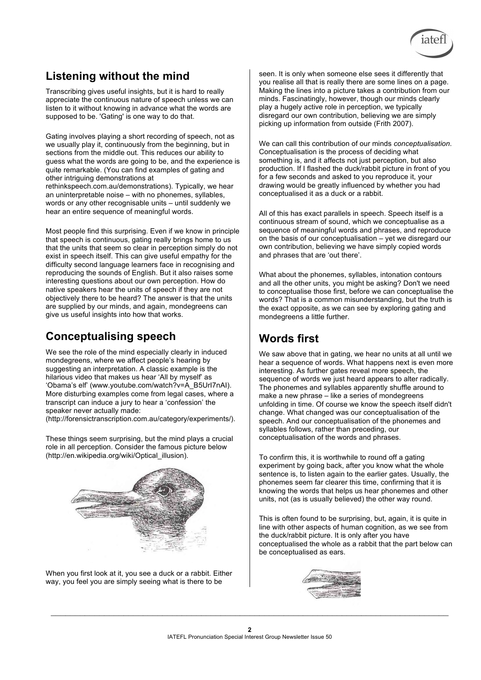

#### **Listening without the mind**

Transcribing gives useful insights, but it is hard to really appreciate the continuous nature of speech unless we can listen to it without knowing in advance what the words are supposed to be. 'Gating' is one way to do that.

Gating involves playing a short recording of speech, not as we usually play it, continuously from the beginning, but in sections from the middle out. This reduces our ability to guess what the words are going to be, and the experience is quite remarkable. (You can find examples of gating and other intriguing demonstrations at rethinkspeech.com.au/demonstrations). Typically, we hear an uninterpretable noise – with no phonemes, syllables, words or any other recognisable units – until suddenly we hear an entire sequence of meaningful words.

Most people find this surprising. Even if we know in principle that speech is continuous, gating really brings home to us that the units that seem so clear in perception simply do not exist in speech itself. This can give useful empathy for the difficulty second language learners face in recognising and reproducing the sounds of English. But it also raises some interesting questions about our own perception. How do native speakers hear the units of speech if they are not objectively there to be heard? The answer is that the units are supplied by our minds, and again, mondegreens can give us useful insights into how that works.

#### **Conceptualising speech**

We see the role of the mind especially clearly in induced mondegreens, where we affect people's hearing by suggesting an interpretation. A classic example is the hilarious video that makes us hear 'All by myself' as 'Obama's elf' (www.youtube.com/watch?v=A\_B5UrI7nAI). More disturbing examples come from legal cases, where a transcript can induce a jury to hear a 'confession' the speaker never actually made:

(http://forensictranscription.com.au/category/experiments/).

These things seem surprising, but the mind plays a crucial role in all perception. Consider the famous picture below (http://en.wikipedia.org/wiki/Optical\_illusion).



When you first look at it, you see a duck or a rabbit. Either way, you feel you are simply seeing what is there to be

seen. It is only when someone else sees it differently that you realise all that is really there are some lines on a page. Making the lines into a picture takes a contribution from our minds. Fascinatingly, however, though our minds clearly play a hugely active role in perception, we typically disregard our own contribution, believing we are simply picking up information from outside (Frith 2007).

We can call this contribution of our minds *conceptualisation*. Conceptualisation is the process of deciding what something is, and it affects not just perception, but also production. If I flashed the duck/rabbit picture in front of you for a few seconds and asked to you reproduce it, your drawing would be greatly influenced by whether you had conceptualised it as a duck or a rabbit.

All of this has exact parallels in speech. Speech itself is a continuous stream of sound, which we conceptualise as a sequence of meaningful words and phrases, and reproduce on the basis of our conceptualisation – yet we disregard our own contribution, believing we have simply copied words and phrases that are 'out there'.

What about the phonemes, syllables, intonation contours and all the other units, you might be asking? Don't we need to conceptualise those first, before we can conceptualise the words? That is a common misunderstanding, but the truth is the exact opposite, as we can see by exploring gating and mondegreens a little further.

#### **Words first**

We saw above that in gating, we hear no units at all until we hear a sequence of words. What happens next is even more interesting. As further gates reveal more speech, the sequence of words we just heard appears to alter radically. The phonemes and syllables apparently shuffle around to make a new phrase – like a series of mondegreens unfolding in time. Of course we know the speech itself didn't change. What changed was our conceptualisation of the speech. And our conceptualisation of the phonemes and syllables follows, rather than preceding, our conceptualisation of the words and phrases.

To confirm this, it is worthwhile to round off a gating experiment by going back, after you know what the whole sentence is, to listen again to the earlier gates. Usually, the phonemes seem far clearer this time, confirming that it is knowing the words that helps us hear phonemes and other units, not (as is usually believed) the other way round.

This is often found to be surprising, but, again, it is quite in line with other aspects of human cognition, as we see from the duck/rabbit picture. It is only after you have conceptualised the whole as a rabbit that the part below can be conceptualised as ears.

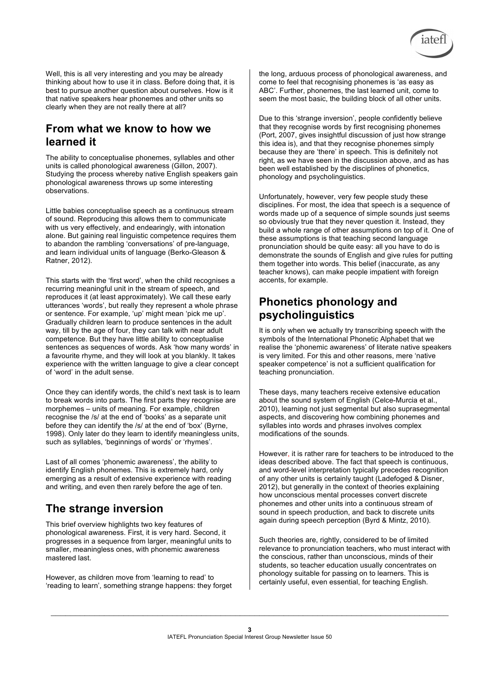

Well, this is all very interesting and you may be already thinking about how to use it in class. Before doing that, it is best to pursue another question about ourselves. How is it that native speakers hear phonemes and other units so clearly when they are not really there at all?

#### **From what we know to how we learned it**

The ability to conceptualise phonemes, syllables and other units is called phonological awareness (Gillon, 2007). Studying the process whereby native English speakers gain phonological awareness throws up some interesting observations.

Little babies conceptualise speech as a continuous stream of sound. Reproducing this allows them to communicate with us very effectively, and endearingly, with intonation alone. But gaining real linguistic competence requires them to abandon the rambling 'conversations' of pre-language, and learn individual units of language (Berko-Gleason & Ratner, 2012).

This starts with the 'first word', when the child recognises a recurring meaningful unit in the stream of speech, and reproduces it (at least approximately). We call these early utterances 'words', but really they represent a whole phrase or sentence. For example, 'up' might mean 'pick me up'. Gradually children learn to produce sentences in the adult way, till by the age of four, they can talk with near adult competence. But they have little ability to conceptualise sentences as sequences of words. Ask 'how many words' in a favourite rhyme, and they will look at you blankly. It takes experience with the written language to give a clear concept of 'word' in the adult sense.

Once they can identify words, the child's next task is to learn to break words into parts. The first parts they recognise are morphemes – units of meaning. For example, children recognise the /s/ at the end of 'books' as a separate unit before they can identify the /s/ at the end of 'box' (Byrne, 1998). Only later do they learn to identify meaningless units, such as syllables, 'beginnings of words' or 'rhymes'.

Last of all comes 'phonemic awareness', the ability to identify English phonemes. This is extremely hard, only emerging as a result of extensive experience with reading and writing, and even then rarely before the age of ten.

#### **The strange inversion**

This brief overview highlights two key features of phonological awareness. First, it is very hard. Second, it progresses in a sequence from larger, meaningful units to smaller, meaningless ones, with phonemic awareness mastered last.

However, as children move from 'learning to read' to 'reading to learn', something strange happens: they forget

the long, arduous process of phonological awareness, and come to feel that recognising phonemes is 'as easy as ABC'. Further, phonemes, the last learned unit, come to seem the most basic, the building block of all other units.

Due to this 'strange inversion', people confidently believe that they recognise words by first recognising phonemes (Port, 2007, gives insightful discussion of just how strange this idea is), and that they recognise phonemes simply because they are 'there' in speech. This is definitely not right, as we have seen in the discussion above, and as has been well established by the disciplines of phonetics, phonology and psycholinguistics.

Unfortunately, however, very few people study these disciplines. For most, the idea that speech is a sequence of words made up of a sequence of simple sounds just seems so obviously true that they never question it. Instead, they build a whole range of other assumptions on top of it. One of these assumptions is that teaching second language pronunciation should be quite easy: all you have to do is demonstrate the sounds of English and give rules for putting them together into words. This belief (inaccurate, as any teacher knows), can make people impatient with foreign accents, for example.

### **Phonetics phonology and psycholinguistics**

It is only when we actually try transcribing speech with the symbols of the International Phonetic Alphabet that we realise the 'phonemic awareness' of literate native speakers is very limited. For this and other reasons, mere 'native speaker competence' is not a sufficient qualification for teaching pronunciation.

These days, many teachers receive extensive education about the sound system of English (Celce-Murcia et al., 2010), learning not just segmental but also suprasegmental aspects, and discovering how combining phonemes and syllables into words and phrases involves complex modifications of the sounds.

However, it is rather rare for teachers to be introduced to the ideas described above. The fact that speech is continuous, and word-level interpretation typically precedes recognition of any other units is certainly taught (Ladefoged & Disner, 2012), but generally in the context of theories explaining how unconscious mental processes convert discrete phonemes and other units into a continuous stream of sound in speech production, and back to discrete units again during speech perception (Byrd & Mintz, 2010).

Such theories are, rightly, considered to be of limited relevance to pronunciation teachers, who must interact with the conscious, rather than unconscious, minds of their students, so teacher education usually concentrates on phonology suitable for passing on to learners. This is certainly useful, even essential, for teaching English.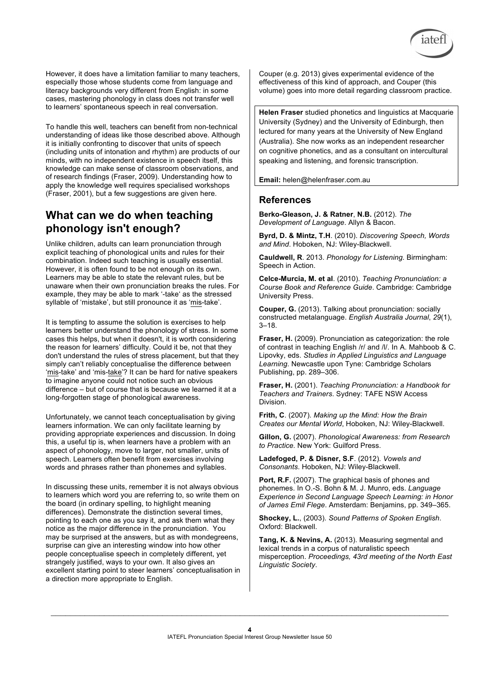

However, it does have a limitation familiar to many teachers, especially those whose students come from language and literacy backgrounds very different from English: in some cases, mastering phonology in class does not transfer well to learners' spontaneous speech in real conversation.

To handle this well, teachers can benefit from non-technical understanding of ideas like those described above. Although it is initially confronting to discover that units of speech (including units of intonation and rhythm) are products of our minds, with no independent existence in speech itself, this knowledge can make sense of classroom observations, and of research findings (Fraser, 2009). Understanding how to apply the knowledge well requires specialised workshops (Fraser, 2001), but a few suggestions are given here.

#### **What can we do when teaching phonology isn't enough?**

Unlike children, adults can learn pronunciation through explicit teaching of phonological units and rules for their combination. Indeed such teaching is usually essential. However, it is often found to be not enough on its own. Learners may be able to state the relevant rules, but be unaware when their own pronunciation breaks the rules. For example, they may be able to mark '-take' as the stressed syllable of 'mistake', but still pronounce it as 'mis-take'.

It is tempting to assume the solution is exercises to help learners better understand the phonology of stress. In some cases this helps, but when it doesn't, it is worth considering the reason for learners' difficulty. Could it be, not that they don't understand the rules of stress placement, but that they simply can't reliably conceptualise the difference between 'mis-take' and 'mis-take'? It can be hard for native speakers to imagine anyone could not notice such an obvious difference – but of course that is because we learned it at a long-forgotten stage of phonological awareness.

Unfortunately, we cannot teach conceptualisation by giving learners information. We can only facilitate learning by providing appropriate experiences and discussion. In doing this, a useful tip is, when learners have a problem with an aspect of phonology, move to larger, not smaller, units of speech. Learners often benefit from exercises involving words and phrases rather than phonemes and syllables.

In discussing these units, remember it is not always obvious to learners which word you are referring to, so write them on the board (in ordinary spelling, to highlight meaning differences). Demonstrate the distinction several times, pointing to each one as you say it, and ask them what they notice as the major difference in the pronunciation. You may be surprised at the answers, but as with mondegreens, surprise can give an interesting window into how other people conceptualise speech in completely different, yet strangely justified, ways to your own. It also gives an excellent starting point to steer learners' conceptualisation in a direction more appropriate to English.

Couper (e.g. 2013) gives experimental evidence of the effectiveness of this kind of approach, and Couper (this volume) goes into more detail regarding classroom practice.

**Helen Fraser** studied phonetics and linguistics at Macquarie University (Sydney) and the University of Edinburgh, then lectured for many years at the University of New England (Australia). She now works as an independent researcher on cognitive phonetics, and as a consultant on intercultural speaking and listening, and forensic transcription.

**Email:** helen@helenfraser.com.au

#### **References**

**Berko-Gleason, J. & Ratner**, **N.B.** (2012). *The Development of Language*. Allyn & Bacon.

**Byrd, D. & Mintz, T.H**. (2010). *Discovering Speech, Words and Mind*. Hoboken, NJ: Wiley-Blackwell.

**Cauldwell, R**. 2013. *Phonology for Listening*. Birmingham: Speech in Action.

**Celce-Murcia, M. et al**. (2010). *Teaching Pronunciation: a Course Book and Reference Guide*. Cambridge: Cambridge University Press.

**Couper, G.** (2013). Talking about pronunciation: socially constructed metalanguage. *English Australia Journal*, *29*(1), 3–18.

**Fraser, H.** (2009). Pronunciation as categorization: the role of contrast in teaching English /r/ and /l/. In A. Mahboob & C. Lipovky, eds. *Studies in Applied Linguistics and Language Learning*. Newcastle upon Tyne: Cambridge Scholars Publishing, pp. 289–306.

**Fraser, H.** (2001). *Teaching Pronunciation: a Handbook for Teachers and Trainers*. Sydney: TAFE NSW Access Division.

**Frith, C**. (2007). *Making up the Mind: How the Brain Creates our Mental World*, Hoboken, NJ: Wiley-Blackwell.

**Gillon, G.** (2007). *Phonological Awareness: from Research to Practice.* New York: Guilford Press.

**Ladefoged, P. & Disner, S.F**. (2012). *Vowels and Consonants*. Hoboken, NJ: Wiley-Blackwell.

**Port, R.F.** (2007). The graphical basis of phones and phonemes. In O.-S. Bohn & M. J. Munro, eds. *Language Experience in Second Language Speech Learning: in Honor of James Emil Flege*. Amsterdam: Benjamins, pp. 349–365.

**Shockey, L.**, (2003). *Sound Patterns of Spoken English*. Oxford: Blackwell.

**Tang, K. & Nevins, A.** (2013). Measuring segmental and lexical trends in a corpus of naturalistic speech misperception. *Proceedings, 43rd meeting of the North East Linguistic Society*.